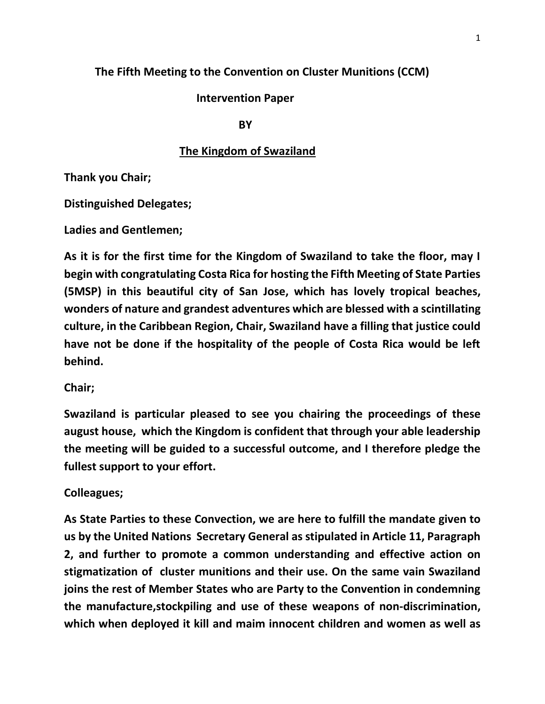## **The Fifth Meeting to the Convention on Cluster Munitions (CCM)**

## **Intervention Paper**

**BY** BY

## **The Kingdom of Swaziland**

**Thank you Chair;** 

**Distinguished Delegates;**

**Ladies and Gentlemen;**

**As it is for the first time for the Kingdom of Swaziland to take the floor, may I begin with congratulating Costa Rica for hosting the Fifth Meeting of State Parties (5MSP) in this beautiful city of San Jose, which has lovely tropical beaches, wonders of nature and grandest adventures which are blessed with a scintillating culture, in the Caribbean Region, Chair, Swaziland have a filling that justice could have not be done if the hospitality of the people of Costa Rica would be left behind.**

**Chair;**

**Swaziland is particular pleased to see you chairing the proceedings of these august house, which the Kingdom is confident that through your able leadership the meeting will be guided to a successful outcome, and I therefore pledge the fullest support to your effort.**

## **Colleagues;**

**As State Parties to these Convection, we are here to fulfill the mandate given to us by the United Nations Secretary General as stipulated in Article 11, Paragraph 2, and further to promote a common understanding and effective action on stigmatization of cluster munitions and their use. On the same vain Swaziland joins the rest of Member States who are Party to the Convention in condemning the manufacture,stockpiling and use of these weapons of non-discrimination, which when deployed it kill and maim innocent children and women as well as**